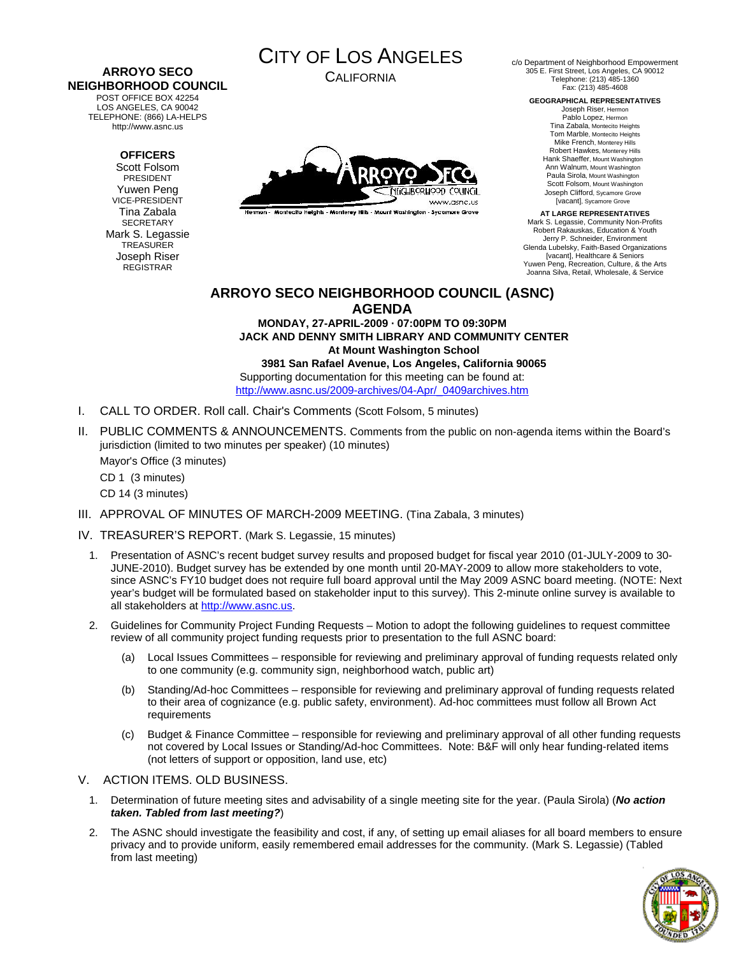# **ARROYO SECO NEIGHBORHOOD COUNCIL**

POST OFFICE BOX 42254 LOS ANGELES, CA 90042 TELEPHONE: (866) LA-HELPS http://www.asnc.us

#### **OFFICERS**

Scott Folsom PRESIDENT Yuwen Peng VICE-PRESIDENT Tina Zabala **SECRETARY** Mark S. Legassie **TREASURER** Joseph Riser REGISTRAR



CALIFORNIA



Hermon - Montecito Heights - Monterey Hills - Mount Washington - Sycamore Grove

c/o Department of Neighborhood Empowerment 305 E. First Street, Los Angeles, CA 90012 Telephone: (213) 485-1360 Fax: (213) 485-4608

#### **GEOGRAPHICAL REPRESENTATIVES**

Joseph Riser, Hermon Pablo Lopez, Hermon Tina Zabala, Montecito Heights Tom Marble, Montecito Heights Mike French, Monterey Hills Robert Hawkes, Monterey Hills Hank Shaeffer, Mount Washington Ann Walnum, Mount Washington Paula Sirola, Mount Washington Scott Folsom, Mount Washington Joseph Clifford, Sycamore Grove [vacant], Sycamore Grove

**AT LARGE REPRESENTATIVES**  Mark S. Legassie, Community Non-Profits Robert Rakauskas, Education & Youth Jerry P. Schneider, Environment Glenda Lubelsky, Faith-Based Organizations [vacant], Healthcare & Seniors Yuwen Peng, Recreation, Culture, & the Arts Joanna Silva, Retail, Wholesale, & Service

# **ARROYO SECO NEIGHBORHOOD COUNCIL (ASNC) AGENDA**

**MONDAY, 27-APRIL-2009 · 07:00PM TO 09:30PM JACK AND DENNY SMITH LIBRARY AND COMMUNITY CENTER At Mount Washington School 3981 San Rafael Avenue, Los Angeles, California 90065**  Supporting documentation for this meeting can be found at:

[http://www.asnc.us/2009-archives/04-Apr/\\_0409archives.htm](http://www.asnc.us/2009-archives/04-Apr/_0409archives.htm)

- I. CALL TO ORDER. Roll call. Chair's Comments (Scott Folsom, 5 minutes)
- II. PUBLIC COMMENTS & ANNOUNCEMENTS. Comments from the public on non-agenda items within the Board's jurisdiction (limited to two minutes per speaker) (10 minutes) Mayor's Office (3 minutes) CD 1 (3 minutes) CD 14 (3 minutes)
- III. APPROVAL OF MINUTES OF MARCH-2009 MEETING. (Tina Zabala, 3 minutes)
- IV. TREASURER'S REPORT. (Mark S. Legassie, 15 minutes)
	- 1. Presentation of ASNC's recent budget survey results and proposed budget for fiscal year 2010 (01-JULY-2009 to 30- JUNE-2010). Budget survey has be extended by one month until 20-MAY-2009 to allow more stakeholders to vote, since ASNC's FY10 budget does not require full board approval until the May 2009 ASNC board meeting. (NOTE: Next year's budget will be formulated based on stakeholder input to this survey). This 2-minute online survey is available to all stakeholders at [http://www.asnc.us](http://www.asnc.us/).
	- 2. Guidelines for Community Project Funding Requests Motion to adopt the following guidelines to request committee review of all community project funding requests prior to presentation to the full ASNC board:
		- (a) Local Issues Committees responsible for reviewing and preliminary approval of funding requests related only to one community (e.g. community sign, neighborhood watch, public art)
		- (b) Standing/Ad-hoc Committees responsible for reviewing and preliminary approval of funding requests related to their area of cognizance (e.g. public safety, environment). Ad-hoc committees must follow all Brown Act requirements
		- (c) Budget & Finance Committee responsible for reviewing and preliminary approval of all other funding requests not covered by Local Issues or Standing/Ad-hoc Committees. Note: B&F will only hear funding-related items (not letters of support or opposition, land use, etc)
- V. ACTION ITEMS. OLD BUSINESS.
	- 1. Determination of future meeting sites and advisability of a single meeting site for the year. (Paula Sirola) (*No action taken. Tabled from last meeting?*)
	- 2. The ASNC should investigate the feasibility and cost, if any, of setting up email aliases for all board members to ensure privacy and to provide uniform, easily remembered email addresses for the community. (Mark S. Legassie) (Tabled from last meeting)

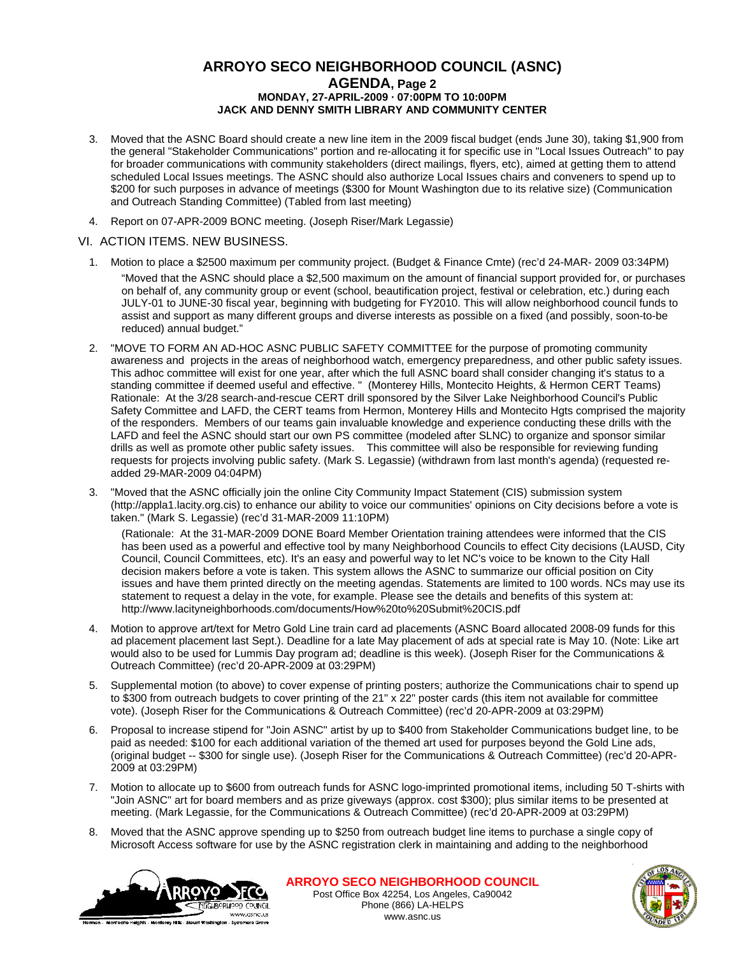## **ARROYO SECO NEIGHBORHOOD COUNCIL (ASNC) AGENDA, Page 2 MONDAY, 27-APRIL-2009 · 07:00PM TO 10:00PM JACK AND DENNY SMITH LIBRARY AND COMMUNITY CENTER**

- 3. Moved that the ASNC Board should create a new line item in the 2009 fiscal budget (ends June 30), taking \$1,900 from the general "Stakeholder Communications" portion and re-allocating it for specific use in "Local Issues Outreach" to pay for broader communications with community stakeholders (direct mailings, flyers, etc), aimed at getting them to attend scheduled Local Issues meetings. The ASNC should also authorize Local Issues chairs and conveners to spend up to \$200 for such purposes in advance of meetings (\$300 for Mount Washington due to its relative size) (Communication and Outreach Standing Committee) (Tabled from last meeting)
- 4. Report on 07-APR-2009 BONC meeting. (Joseph Riser/Mark Legassie)

#### VI. ACTION ITEMS. NEW BUSINESS.

- 1. Motion to place a \$2500 maximum per community project. (Budget & Finance Cmte) (rec'd 24-MAR- 2009 03:34PM)
	- "Moved that the ASNC should place a \$2,500 maximum on the amount of financial support provided for, or purchases on behalf of, any community group or event (school, beautification project, festival or celebration, etc.) during each JULY-01 to JUNE-30 fiscal year, beginning with budgeting for FY2010. This will allow neighborhood council funds to assist and support as many different groups and diverse interests as possible on a fixed (and possibly, soon-to-be reduced) annual budget."
- 2. "MOVE TO FORM AN AD-HOC ASNC PUBLIC SAFETY COMMITTEE for the purpose of promoting community awareness and projects in the areas of neighborhood watch, emergency preparedness, and other public safety issues. This adhoc committee will exist for one year, after which the full ASNC board shall consider changing it's status to a standing committee if deemed useful and effective. " (Monterey Hills, Montecito Heights, & Hermon CERT Teams) Rationale: At the 3/28 search-and-rescue CERT drill sponsored by the Silver Lake Neighborhood Council's Public Safety Committee and LAFD, the CERT teams from Hermon, Monterey Hills and Montecito Hgts comprised the majority of the responders. Members of our teams gain invaluable knowledge and experience conducting these drills with the LAFD and feel the ASNC should start our own PS committee (modeled after SLNC) to organize and sponsor similar drills as well as promote other public safety issues. This committee will also be responsible for reviewing funding requests for projects involving public safety. (Mark S. Legassie) (withdrawn from last month's agenda) (requested readded 29-MAR-2009 04:04PM)
- 3. "Moved that the ASNC officially join the online City Community Impact Statement (CIS) submission system (http://appla1.lacity.org.cis) to enhance our ability to voice our communities' opinions on City decisions before a vote is taken." (Mark S. Legassie) (rec'd 31-MAR-2009 11:10PM)

(Rationale: At the 31-MAR-2009 DONE Board Member Orientation training attendees were informed that the CIS has been used as a powerful and effective tool by many Neighborhood Councils to effect City decisions (LAUSD, City Council, Council Committees, etc). It's an easy and powerful way to let NC's voice to be known to the City Hall decision makers before a vote is taken. This system allows the ASNC to summarize our official position on City issues and have them printed directly on the meeting agendas. Statements are limited to 100 words. NCs may use its statement to request a delay in the vote, for example. Please see the details and benefits of this system at: http://www.lacityneighborhoods.com/documents/How%20to%20Submit%20CIS.pdf

- 4. Motion to approve art/text for Metro Gold Line train card ad placements (ASNC Board allocated 2008-09 funds for this ad placement placement last Sept.). Deadline for a late May placement of ads at special rate is May 10. (Note: Like art would also to be used for Lummis Day program ad; deadline is this week). (Joseph Riser for the Communications & Outreach Committee) (rec'd 20-APR-2009 at 03:29PM)
- 5. Supplemental motion (to above) to cover expense of printing posters; authorize the Communications chair to spend up to \$300 from outreach budgets to cover printing of the 21" x 22" poster cards (this item not available for committee vote). (Joseph Riser for the Communications & Outreach Committee) (rec'd 20-APR-2009 at 03:29PM)
- 6. Proposal to increase stipend for "Join ASNC" artist by up to \$400 from Stakeholder Communications budget line, to be paid as needed: \$100 for each additional variation of the themed art used for purposes beyond the Gold Line ads, (original budget -- \$300 for single use). (Joseph Riser for the Communications & Outreach Committee) (rec'd 20-APR-2009 at 03:29PM)
- 7. Motion to allocate up to \$600 from outreach funds for ASNC logo-imprinted promotional items, including 50 T-shirts with "Join ASNC" art for board members and as prize giveways (approx. cost \$300); plus similar items to be presented at meeting. (Mark Legassie, for the Communications & Outreach Committee) (rec'd 20-APR-2009 at 03:29PM)
- 8. Moved that the ASNC approve spending up to \$250 from outreach budget line items to purchase a single copy of Microsoft Access software for use by the ASNC registration clerk in maintaining and adding to the neighborhood



**ARROYO SECO NEIGHBORHOOD COUNCIL** Post Office Box 42254, Los Angeles, Ca90042 Phone (866) LA-HELPS www.asnc.us

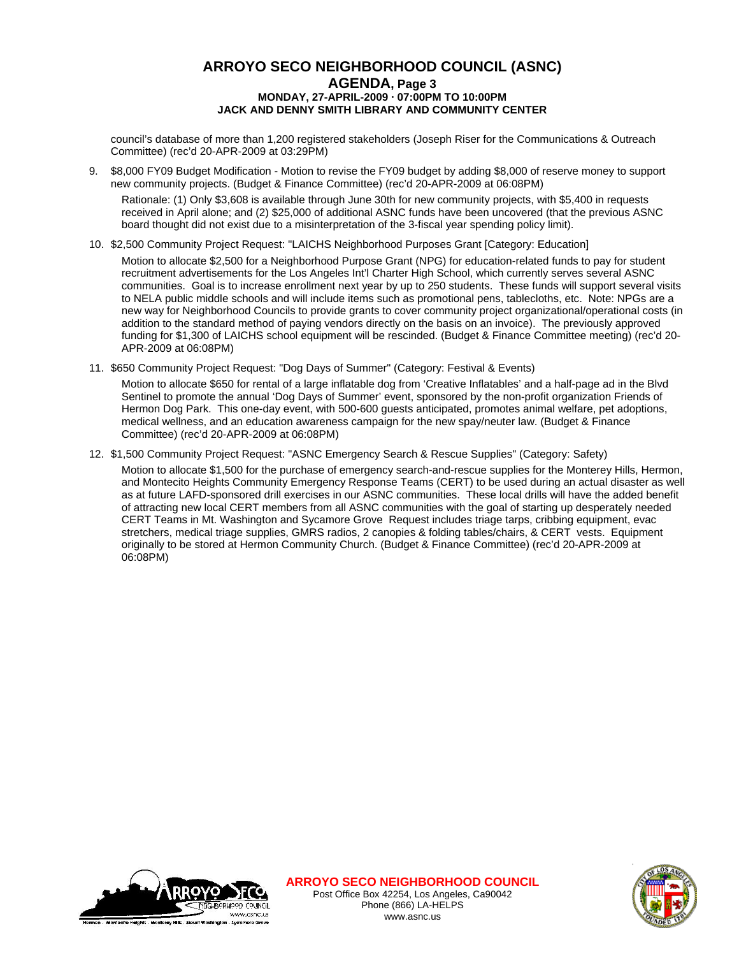# **ARROYO SECO NEIGHBORHOOD COUNCIL (ASNC) AGENDA, Page 3 MONDAY, 27-APRIL-2009 · 07:00PM TO 10:00PM JACK AND DENNY SMITH LIBRARY AND COMMUNITY CENTER**

council's database of more than 1,200 registered stakeholders (Joseph Riser for the Communications & Outreach Committee) (rec'd 20-APR-2009 at 03:29PM)

9. \$8,000 FY09 Budget Modification - Motion to revise the FY09 budget by adding \$8,000 of reserve money to support new community projects. (Budget & Finance Committee) (rec'd 20-APR-2009 at 06:08PM)

Rationale: (1) Only \$3,608 is available through June 30th for new community projects, with \$5,400 in requests received in April alone; and (2) \$25,000 of additional ASNC funds have been uncovered (that the previous ASNC board thought did not exist due to a misinterpretation of the 3-fiscal year spending policy limit).

10. \$2,500 Community Project Request: "LAICHS Neighborhood Purposes Grant [Category: Education]

Motion to allocate \$2,500 for a Neighborhood Purpose Grant (NPG) for education-related funds to pay for student recruitment advertisements for the Los Angeles Int'l Charter High School, which currently serves several ASNC communities. Goal is to increase enrollment next year by up to 250 students. These funds will support several visits to NELA public middle schools and will include items such as promotional pens, tablecloths, etc. Note: NPGs are a new way for Neighborhood Councils to provide grants to cover community project organizational/operational costs (in addition to the standard method of paying vendors directly on the basis on an invoice). The previously approved funding for \$1,300 of LAICHS school equipment will be rescinded. (Budget & Finance Committee meeting) (rec'd 20- APR-2009 at 06:08PM)

11. \$650 Community Project Request: "Dog Days of Summer" (Category: Festival & Events)

Motion to allocate \$650 for rental of a large inflatable dog from 'Creative Inflatables' and a half-page ad in the Blvd Sentinel to promote the annual 'Dog Days of Summer' event, sponsored by the non-profit organization Friends of Hermon Dog Park. This one-day event, with 500-600 guests anticipated, promotes animal welfare, pet adoptions, medical wellness, and an education awareness campaign for the new spay/neuter law. (Budget & Finance Committee) (rec'd 20-APR-2009 at 06:08PM)

12. \$1,500 Community Project Request: "ASNC Emergency Search & Rescue Supplies" (Category: Safety) Motion to allocate \$1,500 for the purchase of emergency search-and-rescue supplies for the Monterey Hills, Hermon, and Montecito Heights Community Emergency Response Teams (CERT) to be used during an actual disaster as well as at future LAFD-sponsored drill exercises in our ASNC communities. These local drills will have the added benefit of attracting new local CERT members from all ASNC communities with the goal of starting up desperately needed CERT Teams in Mt. Washington and Sycamore Grove Request includes triage tarps, cribbing equipment, evac stretchers, medical triage supplies, GMRS radios, 2 canopies & folding tables/chairs, & CERT vests. Equipment originally to be stored at Hermon Community Church. (Budget & Finance Committee) (rec'd 20-APR-2009 at 06:08PM)



**ARROYO SECO NEIGHBORHOOD COUNCIL** Post Office Box 42254, Los Angeles, Ca90042 Phone (866) LA-HELPS www.asnc.us

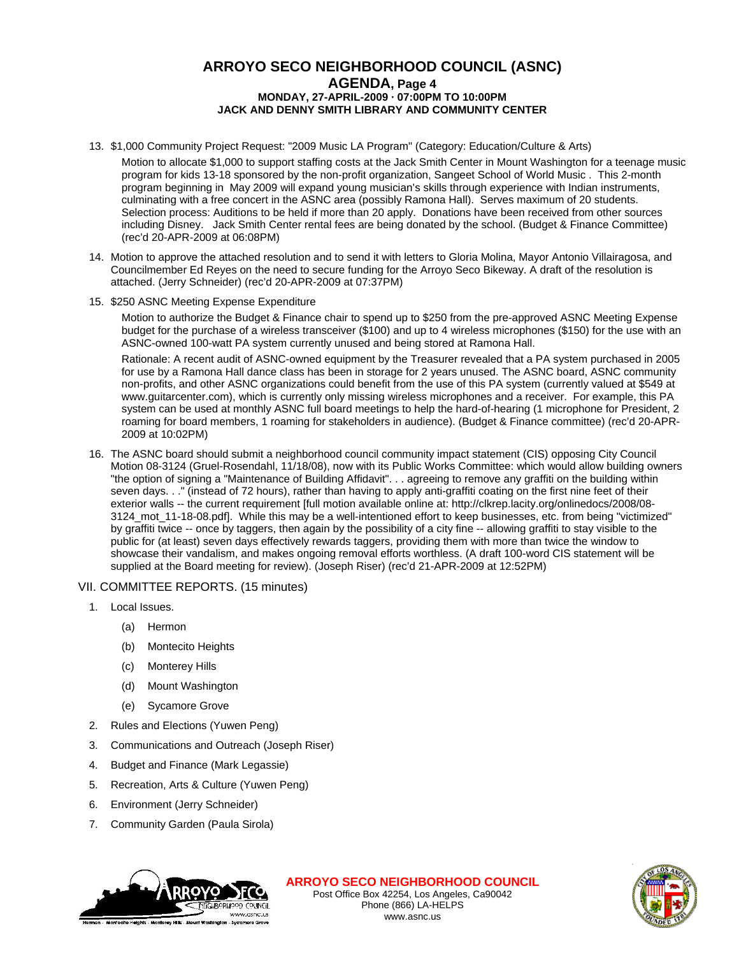# **ARROYO SECO NEIGHBORHOOD COUNCIL (ASNC) AGENDA, Page 4 MONDAY, 27-APRIL-2009 · 07:00PM TO 10:00PM JACK AND DENNY SMITH LIBRARY AND COMMUNITY CENTER**

- 13. \$1,000 Community Project Request: "2009 Music LA Program" (Category: Education/Culture & Arts)
	- Motion to allocate \$1,000 to support staffing costs at the Jack Smith Center in Mount Washington for a teenage music program for kids 13-18 sponsored by the non-profit organization, Sangeet School of World Music . This 2-month program beginning in May 2009 will expand young musician's skills through experience with Indian instruments, culminating with a free concert in the ASNC area (possibly Ramona Hall). Serves maximum of 20 students. Selection process: Auditions to be held if more than 20 apply. Donations have been received from other sources including Disney. Jack Smith Center rental fees are being donated by the school. (Budget & Finance Committee) (rec'd 20-APR-2009 at 06:08PM)
- 14. Motion to approve the attached resolution and to send it with letters to Gloria Molina, Mayor Antonio Villairagosa, and Councilmember Ed Reyes on the need to secure funding for the Arroyo Seco Bikeway. A draft of the resolution is attached. (Jerry Schneider) (rec'd 20-APR-2009 at 07:37PM)
- 15. \$250 ASNC Meeting Expense Expenditure

Motion to authorize the Budget & Finance chair to spend up to \$250 from the pre-approved ASNC Meeting Expense budget for the purchase of a wireless transceiver (\$100) and up to 4 wireless microphones (\$150) for the use with an ASNC-owned 100-watt PA system currently unused and being stored at Ramona Hall.

Rationale: A recent audit of ASNC-owned equipment by the Treasurer revealed that a PA system purchased in 2005 for use by a Ramona Hall dance class has been in storage for 2 years unused. The ASNC board, ASNC community non-profits, and other ASNC organizations could benefit from the use of this PA system (currently valued at \$549 at www.guitarcenter.com), which is currently only missing wireless microphones and a receiver. For example, this PA system can be used at monthly ASNC full board meetings to help the hard-of-hearing (1 microphone for President, 2 roaming for board members, 1 roaming for stakeholders in audience). (Budget & Finance committee) (rec'd 20-APR-2009 at 10:02PM)

16. The ASNC board should submit a neighborhood council community impact statement (CIS) opposing City Council Motion 08-3124 (Gruel-Rosendahl, 11/18/08), now with its Public Works Committee: which would allow building owners "the option of signing a "Maintenance of Building Affidavit". . . agreeing to remove any graffiti on the building within seven days. . ." (instead of 72 hours), rather than having to apply anti-graffiti coating on the first nine feet of their exterior walls -- the current requirement [full motion available online at: http://clkrep.lacity.org/onlinedocs/2008/08- 3124\_mot\_11-18-08.pdf]. While this may be a well-intentioned effort to keep businesses, etc. from being "victimized" by graffiti twice -- once by taggers, then again by the possibility of a city fine -- allowing graffiti to stay visible to the public for (at least) seven days effectively rewards taggers, providing them with more than twice the window to showcase their vandalism, and makes ongoing removal efforts worthless. (A draft 100-word CIS statement will be supplied at the Board meeting for review). (Joseph Riser) (rec'd 21-APR-2009 at 12:52PM)

#### VII. COMMITTEE REPORTS. (15 minutes)

- 1. Local Issues.
	- (a) Hermon
	- (b) Montecito Heights
	- (c) Monterey Hills
	- (d) Mount Washington
	- (e) Sycamore Grove
- 2. Rules and Elections (Yuwen Peng)
- 3. Communications and Outreach (Joseph Riser)
- 4. Budget and Finance (Mark Legassie)
- 5. Recreation, Arts & Culture (Yuwen Peng)
- 6. Environment (Jerry Schneider)
- 7. Community Garden (Paula Sirola)



**ARROYO SECO NEIGHBORHOOD COUNCIL** Post Office Box 42254, Los Angeles, Ca90042 Phone (866) LA-HELPS

www.asnc.us